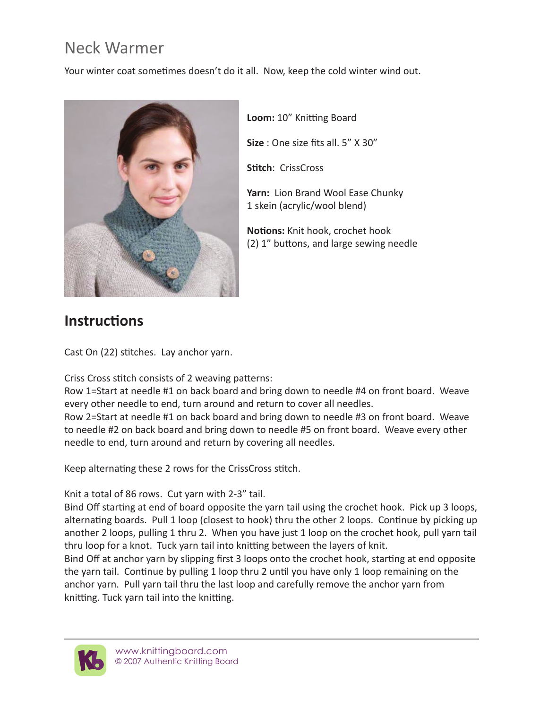## Neck Warmer

Your winter coat sometimes doesn't do it all. Now, keep the cold winter wind out.



**Loom:** 10" Knitting Board

**Size** : One size fits all. 5" X 30"

**Stitch**: CrissCross

**Yarn:** Lion Brand Wool Ease Chunky 1 skein (acrylic/wool blend)

**Notions:** Knit hook, crochet hook (2) 1" buttons, and large sewing needle

## **Instructions**

Cast On (22) stitches. Lay anchor yarn.

Criss Cross stitch consists of 2 weaving patterns:

Row 1=Start at needle #1 on back board and bring down to needle #4 on front board. Weave every other needle to end, turn around and return to cover all needles.

Row 2=Start at needle #1 on back board and bring down to needle #3 on front board. Weave to needle #2 on back board and bring down to needle #5 on front board. Weave every other needle to end, turn around and return by covering all needles.

Keep alternating these 2 rows for the CrissCross stitch.

Knit a total of 86 rows. Cut yarn with 2-3" tail.

Bind Off starting at end of board opposite the yarn tail using the crochet hook. Pick up 3 loops, alternating boards. Pull 1 loop (closest to hook) thru the other 2 loops. Continue by picking up another 2 loops, pulling 1 thru 2. When you have just 1 loop on the crochet hook, pull yarn tail thru loop for a knot. Tuck yarn tail into knitting between the layers of knit.

Bind Off at anchor yarn by slipping first 3 loops onto the crochet hook, starting at end opposite the yarn tail. Continue by pulling 1 loop thru 2 until you have only 1 loop remaining on the anchor yarn. Pull yarn tail thru the last loop and carefully remove the anchor yarn from knitting. Tuck yarn tail into the knitting.